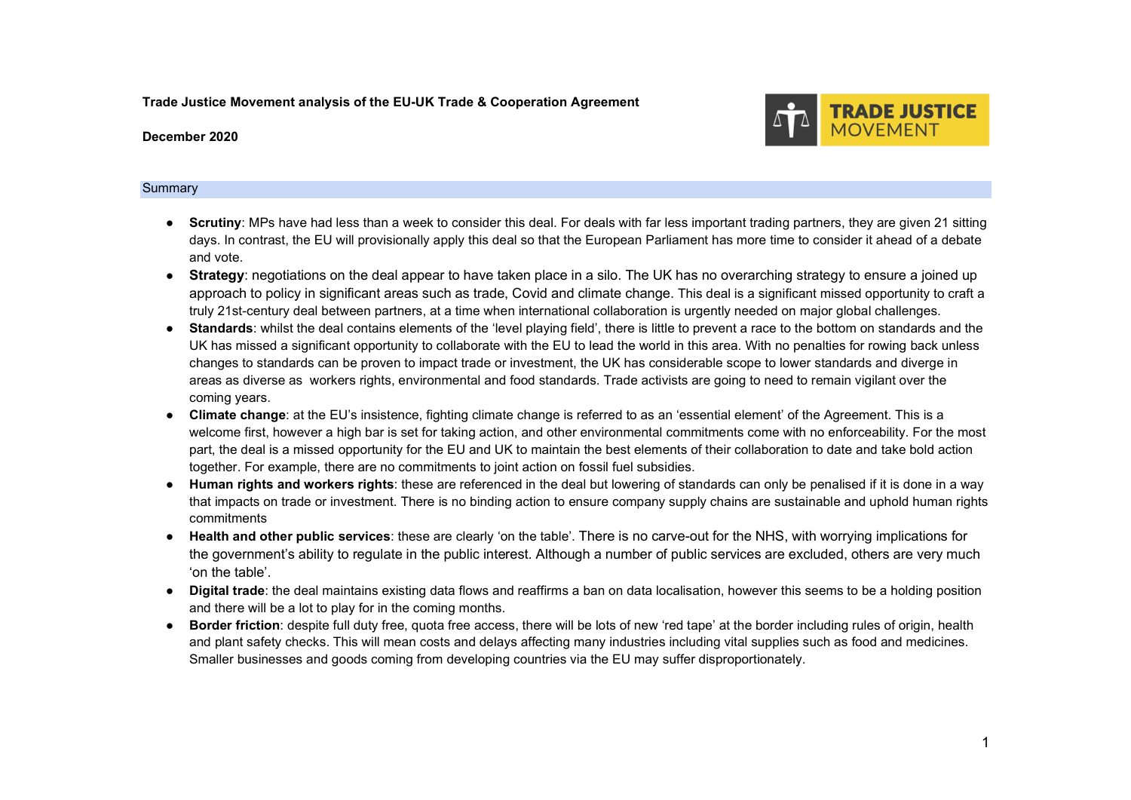## Trade Justice Movement analysis of the EU-UK Trade & Cooperation Agreement

### December 2020



### **Summary**

- Scrutiny: MPs have had less than a week to consider this deal. For deals with far less important trading partners, they are given 21 sitting days. In contrast, the EU will provisionally apply this deal so that the European Parliament has more time to consider it ahead of a debate and vote.
- Strategy: negotiations on the deal appear to have taken place in a silo. The UK has no overarching strategy to ensure a joined up approach to policy in significant areas such as trade, Covid and climate change. This deal is a significant missed opportunity to craft a truly 21st-century deal between partners, at a time when international collaboration is urgently needed on major global challenges.
- Standards: whilst the deal contains elements of the 'level playing field', there is little to prevent a race to the bottom on standards and the UK has missed a significant opportunity to collaborate with the EU to lead the world in this area. With no penalties for rowing back unless changes to standards can be proven to impact trade or investment, the UK has considerable scope to lower standards and diverge in areas as diverse as workers rights, environmental and food standards. Trade activists are going to need to remain vigilant over the coming years.
- Climate change: at the EU's insistence, fighting climate change is referred to as an 'essential element' of the Agreement. This is a welcome first, however a high bar is set for taking action, and other environmental commitments come with no enforceability. For the most part, the deal is a missed opportunity for the EU and UK to maintain the best elements of their collaboration to date and take bold action together. For example, there are no commitments to joint action on fossil fuel subsidies.
- Human rights and workers rights: these are referenced in the deal but lowering of standards can only be penalised if it is done in a way that impacts on trade or investment. There is no binding action to ensure company supply chains are sustainable and uphold human rights commitments
- Health and other public services: these are clearly 'on the table'. There is no carve-out for the NHS, with worrying implications for the government's ability to regulate in the public interest. Although a number of public services are excluded, others are very much
- 'on the table'.<br>● Digital trade: the deal maintains existing data flows and reaffirms a ban on data localisation, however this seems to be a holding position and there will be a lot to play for in the coming months.
- Border friction: despite full duty free, quota free access, there will be lots of new 'red tape' at the border including rules of origin, health and plant safety checks. This will mean costs and delays affecting many industries including vital supplies such as food and medicines. Smaller businesses and goods coming from developing countries via the EU may suffer disproportionately.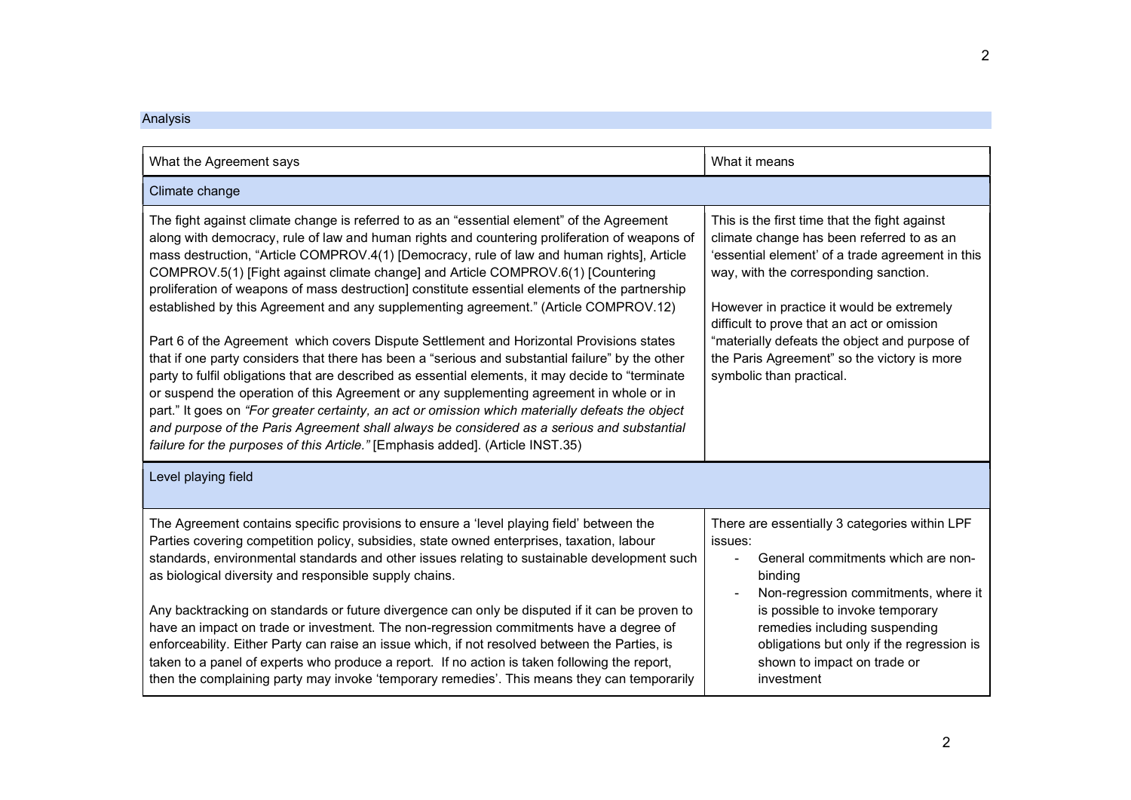# Analysis

| What the Agreement says                                                                                                                                                                                                                                                                                                                                                                                                                                                                                                                                                                                                                                                                                                                                                                                                                                                                                                                                                                                                                                                                                                                                                                                                                                      | What it means                                                                                                                                                                                                                                                                                                                                                                                                  |
|--------------------------------------------------------------------------------------------------------------------------------------------------------------------------------------------------------------------------------------------------------------------------------------------------------------------------------------------------------------------------------------------------------------------------------------------------------------------------------------------------------------------------------------------------------------------------------------------------------------------------------------------------------------------------------------------------------------------------------------------------------------------------------------------------------------------------------------------------------------------------------------------------------------------------------------------------------------------------------------------------------------------------------------------------------------------------------------------------------------------------------------------------------------------------------------------------------------------------------------------------------------|----------------------------------------------------------------------------------------------------------------------------------------------------------------------------------------------------------------------------------------------------------------------------------------------------------------------------------------------------------------------------------------------------------------|
| Climate change                                                                                                                                                                                                                                                                                                                                                                                                                                                                                                                                                                                                                                                                                                                                                                                                                                                                                                                                                                                                                                                                                                                                                                                                                                               |                                                                                                                                                                                                                                                                                                                                                                                                                |
| The fight against climate change is referred to as an "essential element" of the Agreement<br>along with democracy, rule of law and human rights and countering proliferation of weapons of<br>mass destruction, "Article COMPROV.4(1) [Democracy, rule of law and human rights], Article<br>COMPROV.5(1) [Fight against climate change] and Article COMPROV.6(1) [Countering<br>proliferation of weapons of mass destruction] constitute essential elements of the partnership<br>established by this Agreement and any supplementing agreement." (Article COMPROV.12)<br>Part 6 of the Agreement which covers Dispute Settlement and Horizontal Provisions states<br>that if one party considers that there has been a "serious and substantial failure" by the other<br>party to fulfil obligations that are described as essential elements, it may decide to "terminate<br>or suspend the operation of this Agreement or any supplementing agreement in whole or in<br>part." It goes on "For greater certainty, an act or omission which materially defeats the object<br>and purpose of the Paris Agreement shall always be considered as a serious and substantial<br>failure for the purposes of this Article." [Emphasis added]. (Article INST.35) | This is the first time that the fight against<br>climate change has been referred to as an<br>'essential element' of a trade agreement in this<br>way, with the corresponding sanction.<br>However in practice it would be extremely<br>difficult to prove that an act or omission<br>"materially defeats the object and purpose of<br>the Paris Agreement" so the victory is more<br>symbolic than practical. |
| Level playing field                                                                                                                                                                                                                                                                                                                                                                                                                                                                                                                                                                                                                                                                                                                                                                                                                                                                                                                                                                                                                                                                                                                                                                                                                                          |                                                                                                                                                                                                                                                                                                                                                                                                                |
| The Agreement contains specific provisions to ensure a 'level playing field' between the<br>Parties covering competition policy, subsidies, state owned enterprises, taxation, labour<br>standards, environmental standards and other issues relating to sustainable development such<br>as biological diversity and responsible supply chains.<br>Any backtracking on standards or future divergence can only be disputed if it can be proven to<br>have an impact on trade or investment. The non-regression commitments have a degree of<br>enforceability. Either Party can raise an issue which, if not resolved between the Parties, is<br>taken to a panel of experts who produce a report. If no action is taken following the report,<br>then the complaining party may invoke 'temporary remedies'. This means they can temporarily                                                                                                                                                                                                                                                                                                                                                                                                                | There are essentially 3 categories within LPF<br>issues:<br>General commitments which are non-<br>binding<br>Non-regression commitments, where it<br>is possible to invoke temporary<br>remedies including suspending<br>obligations but only if the regression is<br>shown to impact on trade or<br>investment                                                                                                |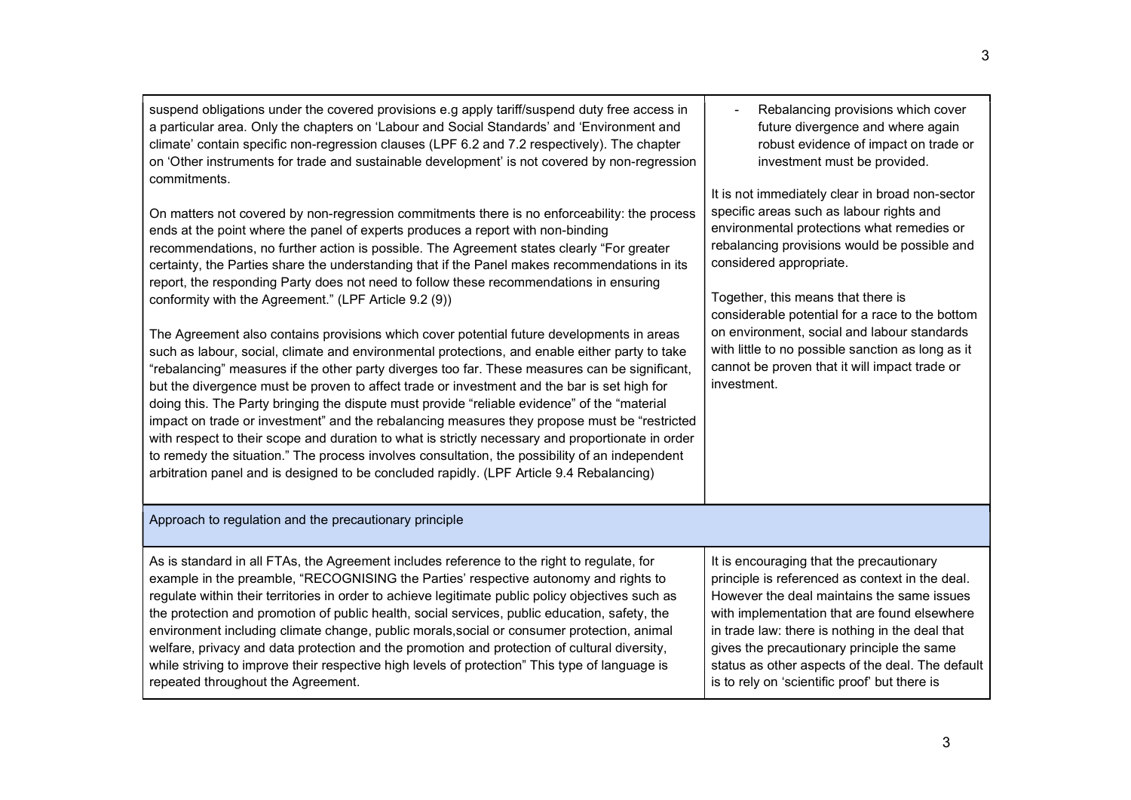| suspend obligations under the covered provisions e.g apply tariff/suspend duty free access in<br>a particular area. Only the chapters on 'Labour and Social Standards' and 'Environment and<br>climate' contain specific non-regression clauses (LPF 6.2 and 7.2 respectively). The chapter<br>on 'Other instruments for trade and sustainable development' is not covered by non-regression<br>commitments.<br>On matters not covered by non-regression commitments there is no enforceability: the process<br>ends at the point where the panel of experts produces a report with non-binding<br>recommendations, no further action is possible. The Agreement states clearly "For greater<br>certainty, the Parties share the understanding that if the Panel makes recommendations in its<br>report, the responding Party does not need to follow these recommendations in ensuring<br>conformity with the Agreement." (LPF Article 9.2 (9))<br>The Agreement also contains provisions which cover potential future developments in areas<br>such as labour, social, climate and environmental protections, and enable either party to take<br>"rebalancing" measures if the other party diverges too far. These measures can be significant,<br>but the divergence must be proven to affect trade or investment and the bar is set high for<br>doing this. The Party bringing the dispute must provide "reliable evidence" of the "material<br>impact on trade or investment" and the rebalancing measures they propose must be "restricted<br>with respect to their scope and duration to what is strictly necessary and proportionate in order<br>to remedy the situation." The process involves consultation, the possibility of an independent<br>arbitration panel and is designed to be concluded rapidly. (LPF Article 9.4 Rebalancing) | Rebalancing provisions which cover<br>future divergence and where again<br>robust evidence of impact on trade or<br>investment must be provided.<br>It is not immediately clear in broad non-sector<br>specific areas such as labour rights and<br>environmental protections what remedies or<br>rebalancing provisions would be possible and<br>considered appropriate.<br>Together, this means that there is<br>considerable potential for a race to the bottom<br>on environment, social and labour standards<br>with little to no possible sanction as long as it<br>cannot be proven that it will impact trade or<br>investment. |
|-----------------------------------------------------------------------------------------------------------------------------------------------------------------------------------------------------------------------------------------------------------------------------------------------------------------------------------------------------------------------------------------------------------------------------------------------------------------------------------------------------------------------------------------------------------------------------------------------------------------------------------------------------------------------------------------------------------------------------------------------------------------------------------------------------------------------------------------------------------------------------------------------------------------------------------------------------------------------------------------------------------------------------------------------------------------------------------------------------------------------------------------------------------------------------------------------------------------------------------------------------------------------------------------------------------------------------------------------------------------------------------------------------------------------------------------------------------------------------------------------------------------------------------------------------------------------------------------------------------------------------------------------------------------------------------------------------------------------------------------------------------------------------------------------------------------------------------------------------|---------------------------------------------------------------------------------------------------------------------------------------------------------------------------------------------------------------------------------------------------------------------------------------------------------------------------------------------------------------------------------------------------------------------------------------------------------------------------------------------------------------------------------------------------------------------------------------------------------------------------------------|
| Approach to regulation and the precautionary principle                                                                                                                                                                                                                                                                                                                                                                                                                                                                                                                                                                                                                                                                                                                                                                                                                                                                                                                                                                                                                                                                                                                                                                                                                                                                                                                                                                                                                                                                                                                                                                                                                                                                                                                                                                                              |                                                                                                                                                                                                                                                                                                                                                                                                                                                                                                                                                                                                                                       |
| As is standard in all FTAs, the Agreement includes reference to the right to regulate, for<br>example in the preamble, "RECOGNISING the Parties' respective autonomy and rights to<br>regulate within their territories in order to achieve legitimate public policy objectives such as<br>the protection and promotion of public health, social services, public education, safety, the<br>environment including climate change, public morals, social or consumer protection, animal<br>welfare, privacy and data protection and the promotion and protection of cultural diversity,<br>while striving to improve their respective high levels of protection" This type of language is<br>repeated throughout the Agreement.                                                                                                                                                                                                                                                                                                                                                                                                                                                                                                                                                                                                                                                                                                                                                                                                                                                                                                                                                                                                                                                                                                                      | It is encouraging that the precautionary<br>principle is referenced as context in the deal.<br>However the deal maintains the same issues<br>with implementation that are found elsewhere<br>in trade law: there is nothing in the deal that<br>gives the precautionary principle the same<br>status as other aspects of the deal. The default                                                                                                                                                                                                                                                                                        |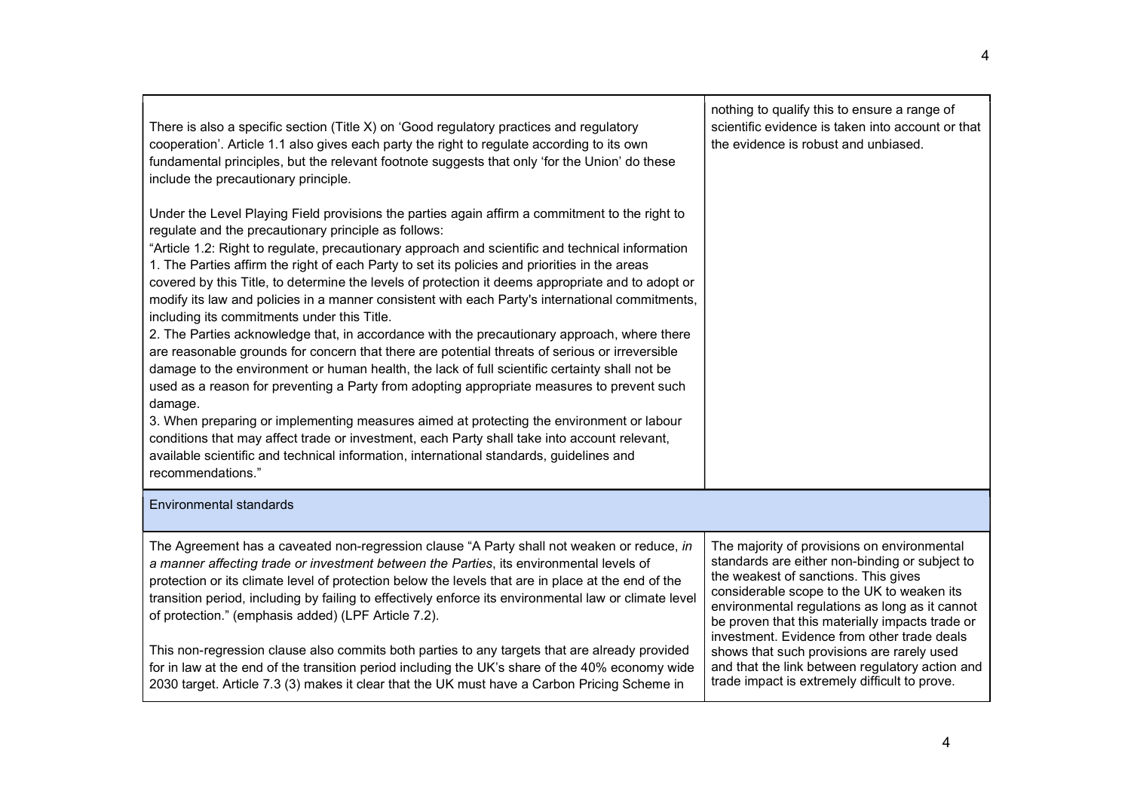| There is also a specific section (Title X) on 'Good regulatory practices and regulatory<br>cooperation'. Article 1.1 also gives each party the right to regulate according to its own<br>fundamental principles, but the relevant footnote suggests that only 'for the Union' do these<br>include the precautionary principle.<br>Under the Level Playing Field provisions the parties again affirm a commitment to the right to<br>regulate and the precautionary principle as follows:<br>"Article 1.2: Right to regulate, precautionary approach and scientific and technical information<br>1. The Parties affirm the right of each Party to set its policies and priorities in the areas<br>covered by this Title, to determine the levels of protection it deems appropriate and to adopt or<br>modify its law and policies in a manner consistent with each Party's international commitments,<br>including its commitments under this Title.<br>2. The Parties acknowledge that, in accordance with the precautionary approach, where there<br>are reasonable grounds for concern that there are potential threats of serious or irreversible<br>damage to the environment or human health, the lack of full scientific certainty shall not be<br>used as a reason for preventing a Party from adopting appropriate measures to prevent such<br>damage.<br>3. When preparing or implementing measures aimed at protecting the environment or labour<br>conditions that may affect trade or investment, each Party shall take into account relevant,<br>available scientific and technical information, international standards, guidelines and<br>recommendations." | nothing to qualify this to ensure a range of<br>scientific evidence is taken into account or that<br>the evidence is robust and unbiased.                                                                                                                                                                                                                                                                                                                                                 |
|-----------------------------------------------------------------------------------------------------------------------------------------------------------------------------------------------------------------------------------------------------------------------------------------------------------------------------------------------------------------------------------------------------------------------------------------------------------------------------------------------------------------------------------------------------------------------------------------------------------------------------------------------------------------------------------------------------------------------------------------------------------------------------------------------------------------------------------------------------------------------------------------------------------------------------------------------------------------------------------------------------------------------------------------------------------------------------------------------------------------------------------------------------------------------------------------------------------------------------------------------------------------------------------------------------------------------------------------------------------------------------------------------------------------------------------------------------------------------------------------------------------------------------------------------------------------------------------------------------------------------------------------------------------------------------|-------------------------------------------------------------------------------------------------------------------------------------------------------------------------------------------------------------------------------------------------------------------------------------------------------------------------------------------------------------------------------------------------------------------------------------------------------------------------------------------|
|                                                                                                                                                                                                                                                                                                                                                                                                                                                                                                                                                                                                                                                                                                                                                                                                                                                                                                                                                                                                                                                                                                                                                                                                                                                                                                                                                                                                                                                                                                                                                                                                                                                                             |                                                                                                                                                                                                                                                                                                                                                                                                                                                                                           |
| <b>Environmental standards</b>                                                                                                                                                                                                                                                                                                                                                                                                                                                                                                                                                                                                                                                                                                                                                                                                                                                                                                                                                                                                                                                                                                                                                                                                                                                                                                                                                                                                                                                                                                                                                                                                                                              |                                                                                                                                                                                                                                                                                                                                                                                                                                                                                           |
| The Agreement has a caveated non-regression clause "A Party shall not weaken or reduce, in<br>a manner affecting trade or investment between the Parties, its environmental levels of<br>protection or its climate level of protection below the levels that are in place at the end of the<br>transition period, including by failing to effectively enforce its environmental law or climate level<br>of protection." (emphasis added) (LPF Article 7.2).<br>This non-regression clause also commits both parties to any targets that are already provided<br>for in law at the end of the transition period including the UK's share of the 40% economy wide<br>2030 target. Article 7.3 (3) makes it clear that the UK must have a Carbon Pricing Scheme in                                                                                                                                                                                                                                                                                                                                                                                                                                                                                                                                                                                                                                                                                                                                                                                                                                                                                                             | The majority of provisions on environmental<br>standards are either non-binding or subject to<br>the weakest of sanctions. This gives<br>considerable scope to the UK to weaken its<br>environmental regulations as long as it cannot<br>be proven that this materially impacts trade or<br>investment. Evidence from other trade deals<br>shows that such provisions are rarely used<br>and that the link between regulatory action and<br>trade impact is extremely difficult to prove. |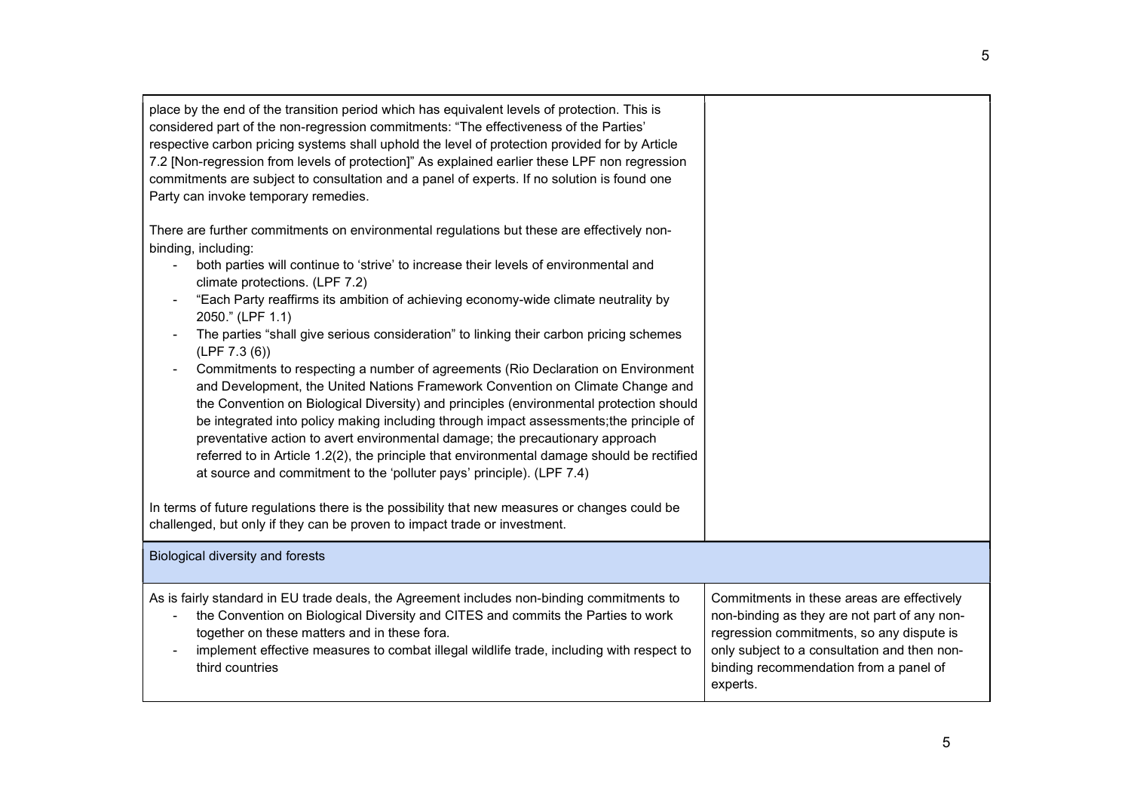| place by the end of the transition period which has equivalent levels of protection. This is<br>considered part of the non-regression commitments: "The effectiveness of the Parties'<br>respective carbon pricing systems shall uphold the level of protection provided for by Article<br>7.2 [Non-regression from levels of protection]" As explained earlier these LPF non regression<br>commitments are subject to consultation and a panel of experts. If no solution is found one<br>Party can invoke temporary remedies.                                                                                  |                                                                                                                                                                                                                                               |
|------------------------------------------------------------------------------------------------------------------------------------------------------------------------------------------------------------------------------------------------------------------------------------------------------------------------------------------------------------------------------------------------------------------------------------------------------------------------------------------------------------------------------------------------------------------------------------------------------------------|-----------------------------------------------------------------------------------------------------------------------------------------------------------------------------------------------------------------------------------------------|
| There are further commitments on environmental regulations but these are effectively non-<br>binding, including:<br>both parties will continue to 'strive' to increase their levels of environmental and<br>climate protections. (LPF 7.2)<br>"Each Party reaffirms its ambition of achieving economy-wide climate neutrality by<br>2050." (LPF 1.1)<br>The parties "shall give serious consideration" to linking their carbon pricing schemes<br>(LPF 7.3(6))                                                                                                                                                   |                                                                                                                                                                                                                                               |
| Commitments to respecting a number of agreements (Rio Declaration on Environment<br>and Development, the United Nations Framework Convention on Climate Change and<br>the Convention on Biological Diversity) and principles (environmental protection should<br>be integrated into policy making including through impact assessments; the principle of<br>preventative action to avert environmental damage; the precautionary approach<br>referred to in Article 1.2(2), the principle that environmental damage should be rectified<br>at source and commitment to the 'polluter pays' principle). (LPF 7.4) |                                                                                                                                                                                                                                               |
| In terms of future regulations there is the possibility that new measures or changes could be<br>challenged, but only if they can be proven to impact trade or investment.                                                                                                                                                                                                                                                                                                                                                                                                                                       |                                                                                                                                                                                                                                               |
| Biological diversity and forests                                                                                                                                                                                                                                                                                                                                                                                                                                                                                                                                                                                 |                                                                                                                                                                                                                                               |
| As is fairly standard in EU trade deals, the Agreement includes non-binding commitments to<br>the Convention on Biological Diversity and CITES and commits the Parties to work<br>together on these matters and in these fora.<br>implement effective measures to combat illegal wildlife trade, including with respect to<br>third countries                                                                                                                                                                                                                                                                    | Commitments in these areas are effectively<br>non-binding as they are not part of any non-<br>regression commitments, so any dispute is<br>only subject to a consultation and then non-<br>binding recommendation from a panel of<br>experts. |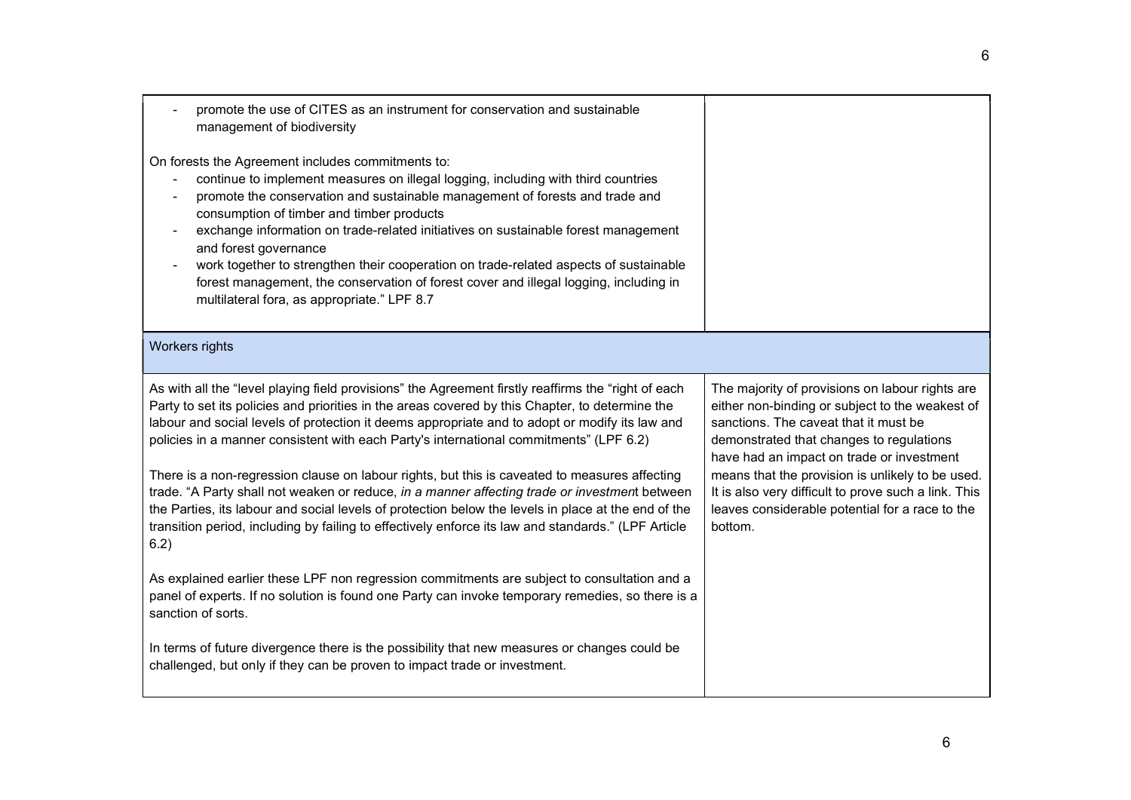| promote the use of CITES as an instrument for conservation and sustainable<br>management of biodiversity<br>On forests the Agreement includes commitments to:<br>continue to implement measures on illegal logging, including with third countries<br>promote the conservation and sustainable management of forests and trade and<br>consumption of timber and timber products<br>exchange information on trade-related initiatives on sustainable forest management<br>$\sim$<br>and forest governance<br>work together to strengthen their cooperation on trade-related aspects of sustainable<br>forest management, the conservation of forest cover and illegal logging, including in<br>multilateral fora, as appropriate." LPF 8.7                                                                                  |                                                                                                                                                                                                                                                                                                                                                                                                                |
|----------------------------------------------------------------------------------------------------------------------------------------------------------------------------------------------------------------------------------------------------------------------------------------------------------------------------------------------------------------------------------------------------------------------------------------------------------------------------------------------------------------------------------------------------------------------------------------------------------------------------------------------------------------------------------------------------------------------------------------------------------------------------------------------------------------------------|----------------------------------------------------------------------------------------------------------------------------------------------------------------------------------------------------------------------------------------------------------------------------------------------------------------------------------------------------------------------------------------------------------------|
| Workers rights                                                                                                                                                                                                                                                                                                                                                                                                                                                                                                                                                                                                                                                                                                                                                                                                             |                                                                                                                                                                                                                                                                                                                                                                                                                |
| As with all the "level playing field provisions" the Agreement firstly reaffirms the "right of each<br>Party to set its policies and priorities in the areas covered by this Chapter, to determine the<br>labour and social levels of protection it deems appropriate and to adopt or modify its law and<br>policies in a manner consistent with each Party's international commitments" (LPF 6.2)<br>There is a non-regression clause on labour rights, but this is caveated to measures affecting<br>trade. "A Party shall not weaken or reduce, in a manner affecting trade or investment between<br>the Parties, its labour and social levels of protection below the levels in place at the end of the<br>transition period, including by failing to effectively enforce its law and standards." (LPF Article<br>6.2) | The majority of provisions on labour rights are<br>either non-binding or subject to the weakest of<br>sanctions. The caveat that it must be<br>demonstrated that changes to regulations<br>have had an impact on trade or investment<br>means that the provision is unlikely to be used.<br>It is also very difficult to prove such a link. This<br>leaves considerable potential for a race to the<br>bottom. |
| As explained earlier these LPF non regression commitments are subject to consultation and a<br>panel of experts. If no solution is found one Party can invoke temporary remedies, so there is a<br>sanction of sorts.                                                                                                                                                                                                                                                                                                                                                                                                                                                                                                                                                                                                      |                                                                                                                                                                                                                                                                                                                                                                                                                |
| In terms of future divergence there is the possibility that new measures or changes could be<br>challenged, but only if they can be proven to impact trade or investment.                                                                                                                                                                                                                                                                                                                                                                                                                                                                                                                                                                                                                                                  |                                                                                                                                                                                                                                                                                                                                                                                                                |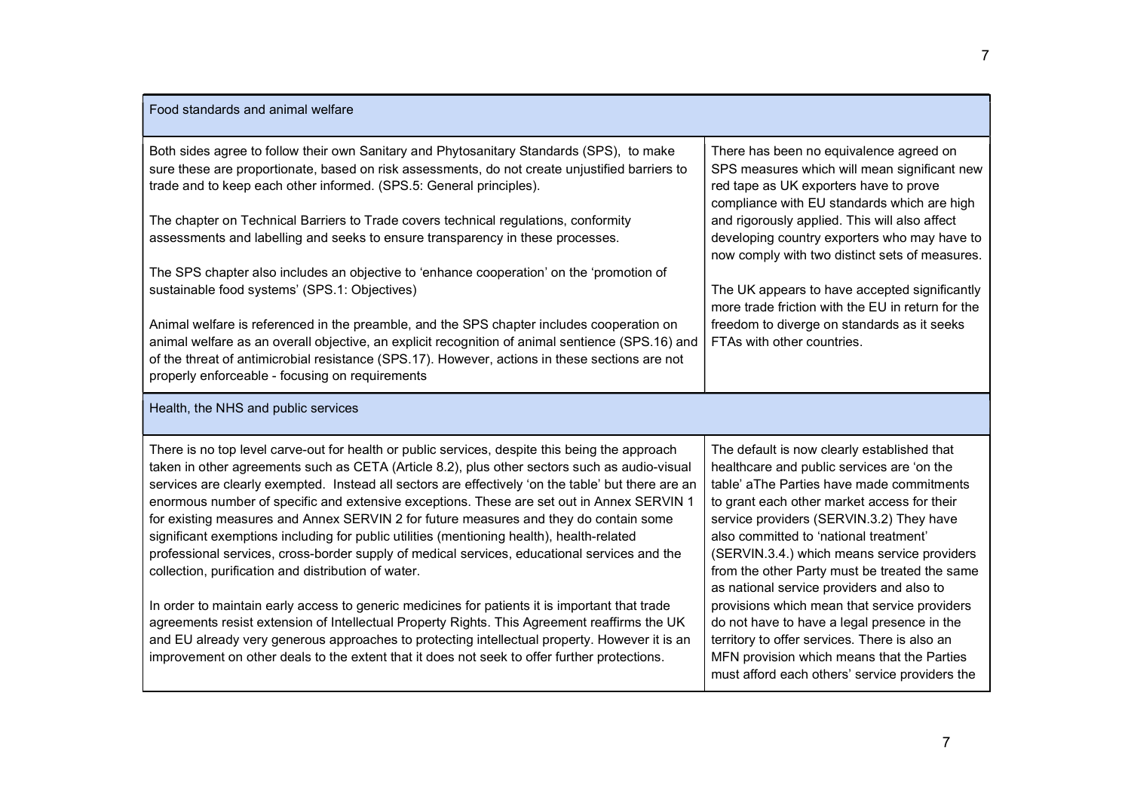### Food standards and animal welfare

Both sides agree to follow their own Sanitary and Phytosanitary Standards (SPS), to make sure these are proportionate, based on risk assessments, do not create unjustified barriers to trade and to keep each other informed. (SPS.5: General principles).

The chapter on Technical Barriers to Trade covers technical regulations, conformity assessments and labelling and seeks to ensure transparency in these processes.

The SPS chapter also includes an objective to 'enhance cooperation' on the 'promotion of sustainable food systems' (SPS.1: Objectives)

Animal welfare is referenced in the preamble, and the SPS chapter includes cooperation on animal welfare as an overall objective, an explicit recognition of animal sentience (SPS.16) and of the threat of antimicrobial resistance (SPS.17). However, actions in these sections are not properly enforceable - focusing on requirements

### Health, the NHS and public services

There is no top level carve-out for health or public services, despite this being the approach taken in other agreements such as CETA (Article 8.2), plus other sectors such as audio-visual services are clearly exempted. Instead all sectors are effectively 'on the table' but there are an enormous number of specific and extensive exceptions. These are set out in Annex SERVIN 1 for existing measures and Annex SERVIN 2 for future measures and they do contain some significant exemptions including for public utilities (mentioning health), health-related professional services, cross-border supply of medical services, educational services and the collection, purification and distribution of water.

In order to maintain early access to generic medicines for patients it is important that trade agreements resist extension of Intellectual Property Rights. This Agreement reaffirms the UK and EU already very generous approaches to protecting intellectual property. However it is an improvement on other deals to the extent that it does not seek to offer further protections.

The default is now clearly established that healthcare and public services are 'on the table' aThe Parties have made commitments to grant each other market access for their service providers (SERVIN.3.2) They have also committed to 'national treatment' (SERVIN.3.4.) which means service providers from the other Party must be treated the same as national service providers and also to provisions which mean that service providers do not have to have a legal presence in the territory to offer services. There is also an MFN provision which means that the Parties must afford each others' service providers the

There has been no equivalence agreed on SPS measures which will mean significant new

The UK appears to have accepted significantly more trade friction with the EU in return for the freedom to diverge on standards as it seeks

red tape as UK exporters have to prove compliance with EU standards which are high and rigorously applied. This will also affect developing country exporters who may have to now comply with two distinct sets of measures.

FTAs with other countries.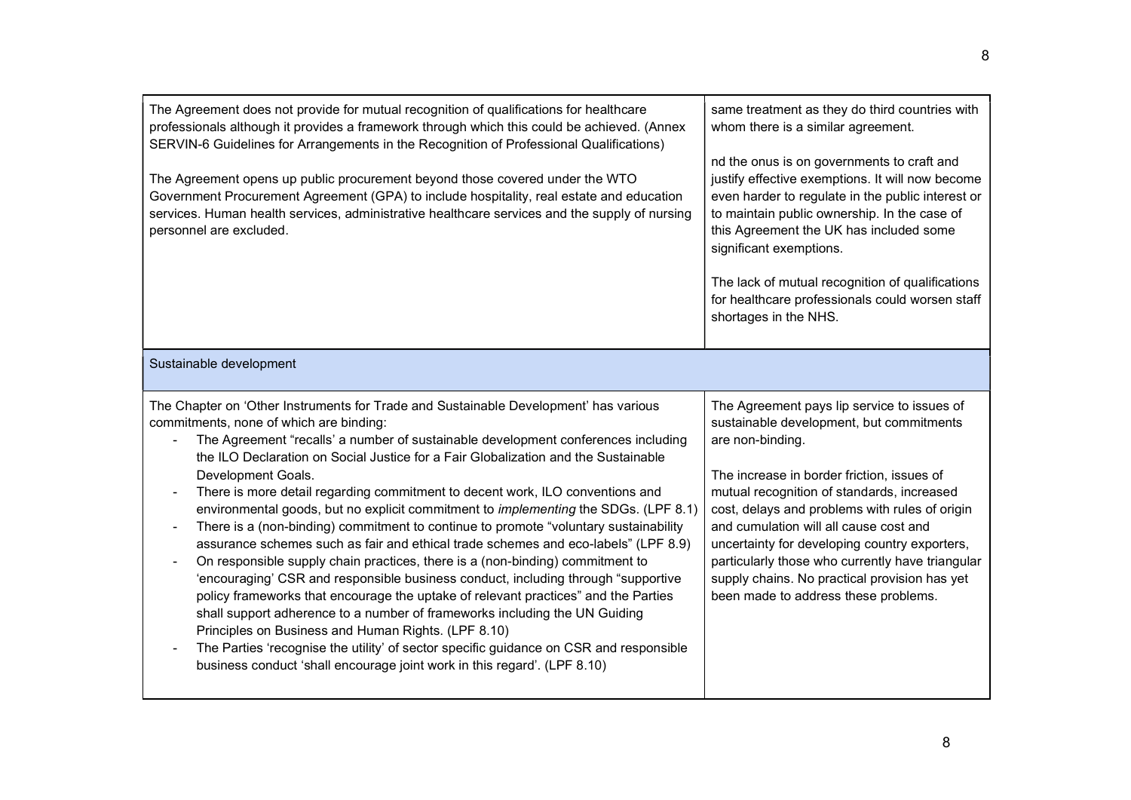| The Agreement does not provide for mutual recognition of qualifications for healthcare<br>professionals although it provides a framework through which this could be achieved. (Annex<br>SERVIN-6 Guidelines for Arrangements in the Recognition of Professional Qualifications)<br>The Agreement opens up public procurement beyond those covered under the WTO<br>Government Procurement Agreement (GPA) to include hospitality, real estate and education<br>services. Human health services, administrative healthcare services and the supply of nursing<br>personnel are excluded.                                                                                                                                                                                                                                                                                                                                                                                                                                                                                                                                                                                                                                                                      | same treatment as they do third countries with<br>whom there is a similar agreement.<br>nd the onus is on governments to craft and<br>justify effective exemptions. It will now become<br>even harder to regulate in the public interest or<br>to maintain public ownership. In the case of<br>this Agreement the UK has included some<br>significant exemptions.<br>The lack of mutual recognition of qualifications<br>for healthcare professionals could worsen staff<br>shortages in the NHS. |
|---------------------------------------------------------------------------------------------------------------------------------------------------------------------------------------------------------------------------------------------------------------------------------------------------------------------------------------------------------------------------------------------------------------------------------------------------------------------------------------------------------------------------------------------------------------------------------------------------------------------------------------------------------------------------------------------------------------------------------------------------------------------------------------------------------------------------------------------------------------------------------------------------------------------------------------------------------------------------------------------------------------------------------------------------------------------------------------------------------------------------------------------------------------------------------------------------------------------------------------------------------------|---------------------------------------------------------------------------------------------------------------------------------------------------------------------------------------------------------------------------------------------------------------------------------------------------------------------------------------------------------------------------------------------------------------------------------------------------------------------------------------------------|
| Sustainable development                                                                                                                                                                                                                                                                                                                                                                                                                                                                                                                                                                                                                                                                                                                                                                                                                                                                                                                                                                                                                                                                                                                                                                                                                                       |                                                                                                                                                                                                                                                                                                                                                                                                                                                                                                   |
| The Chapter on 'Other Instruments for Trade and Sustainable Development' has various<br>commitments, none of which are binding:<br>The Agreement "recalls' a number of sustainable development conferences including<br>the ILO Declaration on Social Justice for a Fair Globalization and the Sustainable<br>Development Goals.<br>There is more detail regarding commitment to decent work, ILO conventions and<br>environmental goods, but no explicit commitment to implementing the SDGs. (LPF 8.1)<br>There is a (non-binding) commitment to continue to promote "voluntary sustainability<br>assurance schemes such as fair and ethical trade schemes and eco-labels" (LPF 8.9)<br>On responsible supply chain practices, there is a (non-binding) commitment to<br>'encouraging' CSR and responsible business conduct, including through "supportive<br>policy frameworks that encourage the uptake of relevant practices" and the Parties<br>shall support adherence to a number of frameworks including the UN Guiding<br>Principles on Business and Human Rights. (LPF 8.10)<br>The Parties 'recognise the utility' of sector specific guidance on CSR and responsible<br>business conduct 'shall encourage joint work in this regard'. (LPF 8.10) | The Agreement pays lip service to issues of<br>sustainable development, but commitments<br>are non-binding.<br>The increase in border friction, issues of<br>mutual recognition of standards, increased<br>cost, delays and problems with rules of origin<br>and cumulation will all cause cost and<br>uncertainty for developing country exporters,<br>particularly those who currently have triangular<br>supply chains. No practical provision has yet<br>been made to address these problems. |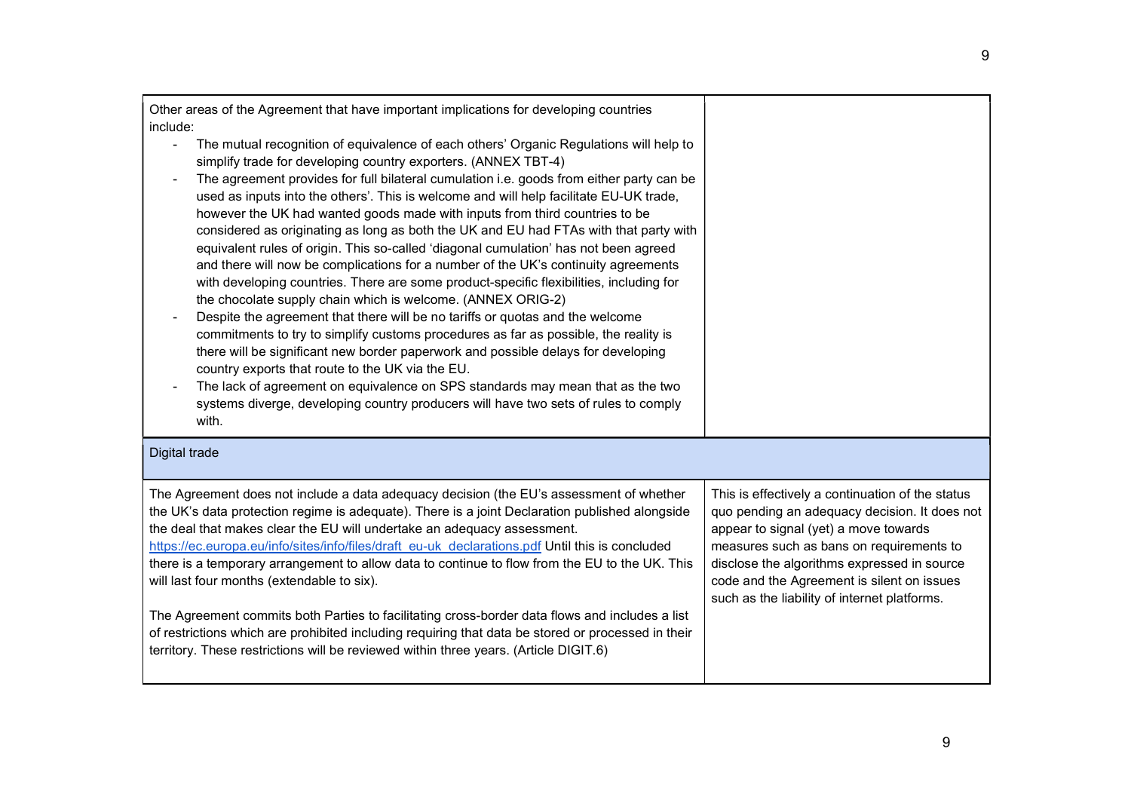| Other areas of the Agreement that have important implications for developing countries<br>include:<br>The mutual recognition of equivalence of each others' Organic Regulations will help to<br>simplify trade for developing country exporters. (ANNEX TBT-4)<br>The agreement provides for full bilateral cumulation i.e. goods from either party can be<br>used as inputs into the others'. This is welcome and will help facilitate EU-UK trade,<br>however the UK had wanted goods made with inputs from third countries to be<br>considered as originating as long as both the UK and EU had FTAs with that party with<br>equivalent rules of origin. This so-called 'diagonal cumulation' has not been agreed<br>and there will now be complications for a number of the UK's continuity agreements<br>with developing countries. There are some product-specific flexibilities, including for<br>the chocolate supply chain which is welcome. (ANNEX ORIG-2)<br>Despite the agreement that there will be no tariffs or quotas and the welcome<br>commitments to try to simplify customs procedures as far as possible, the reality is<br>there will be significant new border paperwork and possible delays for developing<br>country exports that route to the UK via the EU.<br>The lack of agreement on equivalence on SPS standards may mean that as the two<br>systems diverge, developing country producers will have two sets of rules to comply<br>with. |                                                                                                                                                                                                                                                                                                                                     |
|--------------------------------------------------------------------------------------------------------------------------------------------------------------------------------------------------------------------------------------------------------------------------------------------------------------------------------------------------------------------------------------------------------------------------------------------------------------------------------------------------------------------------------------------------------------------------------------------------------------------------------------------------------------------------------------------------------------------------------------------------------------------------------------------------------------------------------------------------------------------------------------------------------------------------------------------------------------------------------------------------------------------------------------------------------------------------------------------------------------------------------------------------------------------------------------------------------------------------------------------------------------------------------------------------------------------------------------------------------------------------------------------------------------------------------------------------------------------------|-------------------------------------------------------------------------------------------------------------------------------------------------------------------------------------------------------------------------------------------------------------------------------------------------------------------------------------|
| Digital trade                                                                                                                                                                                                                                                                                                                                                                                                                                                                                                                                                                                                                                                                                                                                                                                                                                                                                                                                                                                                                                                                                                                                                                                                                                                                                                                                                                                                                                                            |                                                                                                                                                                                                                                                                                                                                     |
| The Agreement does not include a data adequacy decision (the EU's assessment of whether<br>the UK's data protection regime is adequate). There is a joint Declaration published alongside<br>the deal that makes clear the EU will undertake an adequacy assessment.<br>https://ec.europa.eu/info/sites/info/files/draft eu-uk declarations.pdf Until this is concluded<br>there is a temporary arrangement to allow data to continue to flow from the EU to the UK. This<br>will last four months (extendable to six).<br>The Agreement commits both Parties to facilitating cross-border data flows and includes a list<br>of restrictions which are prohibited including requiring that data be stored or processed in their<br>territory. These restrictions will be reviewed within three years. (Article DIGIT.6)                                                                                                                                                                                                                                                                                                                                                                                                                                                                                                                                                                                                                                                  | This is effectively a continuation of the status<br>quo pending an adequacy decision. It does not<br>appear to signal (yet) a move towards<br>measures such as bans on requirements to<br>disclose the algorithms expressed in source<br>code and the Agreement is silent on issues<br>such as the liability of internet platforms. |